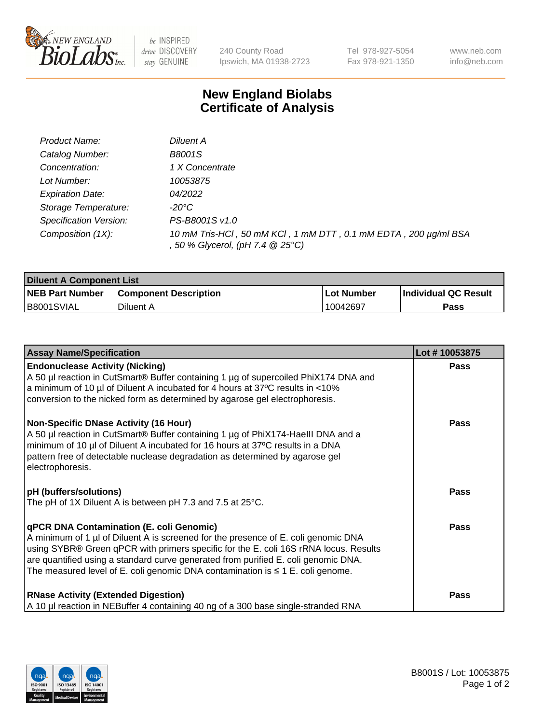

 $be$  INSPIRED drive DISCOVERY stay GENUINE

240 County Road Ipswich, MA 01938-2723 Tel 978-927-5054 Fax 978-921-1350 www.neb.com info@neb.com

## **New England Biolabs Certificate of Analysis**

| Product Name:           | Diluent A                                                                                           |
|-------------------------|-----------------------------------------------------------------------------------------------------|
| Catalog Number:         | <b>B8001S</b>                                                                                       |
| Concentration:          | 1 X Concentrate                                                                                     |
| Lot Number:             | 10053875                                                                                            |
| <b>Expiration Date:</b> | 04/2022                                                                                             |
| Storage Temperature:    | -20°C                                                                                               |
| Specification Version:  | PS-B8001S v1.0                                                                                      |
| Composition (1X):       | 10 mM Tris-HCl, 50 mM KCl, 1 mM DTT, 0.1 mM EDTA, 200 µg/ml BSA<br>, 50 % Glycerol, (pH 7.4 @ 25°C) |

| <b>Diluent A Component List</b> |                              |            |                      |  |
|---------------------------------|------------------------------|------------|----------------------|--|
| <b>NEB Part Number</b>          | <b>Component Description</b> | Lot Number | Individual QC Result |  |
| B8001SVIAL                      | Diluent A                    | 10042697   | Pass                 |  |

| <b>Assay Name/Specification</b>                                                                                                                                                                                                                                                                                                                                                                            | Lot #10053875 |
|------------------------------------------------------------------------------------------------------------------------------------------------------------------------------------------------------------------------------------------------------------------------------------------------------------------------------------------------------------------------------------------------------------|---------------|
| <b>Endonuclease Activity (Nicking)</b><br>A 50 µl reaction in CutSmart® Buffer containing 1 µg of supercoiled PhiX174 DNA and<br>a minimum of 10 µl of Diluent A incubated for 4 hours at 37°C results in <10%<br>conversion to the nicked form as determined by agarose gel electrophoresis.                                                                                                              | <b>Pass</b>   |
| <b>Non-Specific DNase Activity (16 Hour)</b><br>A 50 µl reaction in CutSmart® Buffer containing 1 µg of PhiX174-Haelll DNA and a<br>minimum of 10 µl of Diluent A incubated for 16 hours at 37°C results in a DNA<br>pattern free of detectable nuclease degradation as determined by agarose gel<br>electrophoresis.                                                                                      | <b>Pass</b>   |
| <b>pH</b> (buffers/solutions)<br>The pH of 1X Diluent A is between pH 7.3 and 7.5 at 25°C.                                                                                                                                                                                                                                                                                                                 | <b>Pass</b>   |
| <b>qPCR DNA Contamination (E. coli Genomic)</b><br>A minimum of 1 µl of Diluent A is screened for the presence of E. coli genomic DNA<br>using SYBR® Green qPCR with primers specific for the E. coli 16S rRNA locus. Results<br>are quantified using a standard curve generated from purified E. coli genomic DNA.<br>The measured level of E. coli genomic DNA contamination is $\leq 1$ E. coli genome. | Pass          |
| <b>RNase Activity (Extended Digestion)</b><br>A 10 µl reaction in NEBuffer 4 containing 40 ng of a 300 base single-stranded RNA                                                                                                                                                                                                                                                                            | Pass          |